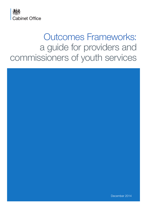

# Outcomes Frameworks: a guide for providers and commissioners of youth services

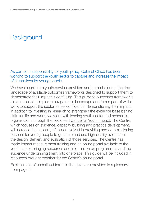As part of its responsibility for youth policy, Cabinet Office has been working to support the youth sector to capture and increase the impact of its services for young people.

We have heard from youth service providers and commissioners that the landscape of available outcomes frameworks designed to support them to demonstrate their impact is confusing. This guide to outcomes frameworks aims to make it simpler to navigate this landscape and forms part of wider work to support the sector to feel confident in demonstrating their impact. In addition to investing in research to strengthen the evidence base behind skills for life and work, we work with leading youth sector and academic organisations through the sector-led [Centre for Youth Impact](http://www.youth-impact.uk/). The Centre, which focuses on evidence, capacity building and practice development, will increase the capacity of those involved in providing and commissioning services for young people to generate and use high quality evidence in the design, delivery and evaluation of those services. The Centre has made impact measurement training and an online portal available to the youth sector, bringing resources and information on programmes and the evidence underpinning them, into one place. This guide will be included in resources brought together for the Centre's online portal.

Explanations of underlined terms in the guide are provided in a glossary from [page 25.](#page-24-0)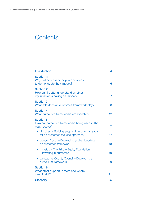## **Contents**

| <b>Introduction</b>                                                                            | 4  |
|------------------------------------------------------------------------------------------------|----|
| <b>Section 1:</b><br>Why is it necessary for youth services<br>to demonstrate their impact?    | 6  |
| <b>Section 2:</b><br>How can I better understand whether<br>my initiative is having an impact? | 7  |
| <b>Section 3:</b><br>What role does an outcomes framework play?                                | 8  |
| <b>Section 4:</b><br>What outcomes frameworks are available?                                   | 12 |
| <b>Section 5:</b><br>How are outcomes frameworks being used in the<br>youth sector?            | 17 |
| • vlnspired – Building support in your organisation<br>for an outcomes focused approach        | 17 |
| • London Youth – Developing and embedding<br>an outcomes framework                             | 18 |
| • Impetus – The Private Equity Foundation<br>- Investing in outcomes                           | 19 |
| • Lancashire County Council – Developing a<br>curriculum framework                             | 20 |
| <b>Section 6:</b><br>What other support is there and where<br>can I find it?                   | 21 |
| Glossary                                                                                       | 25 |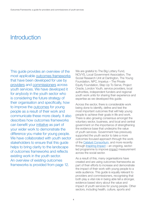## <span id="page-3-0"></span>**Introduction**

This guide provides an overview of the most applicable outcomes frameworks that have been developed for use by providers and commissioners across youth services. We have developed it for anybody in the youth sector who is considering the future strategy of their organisation and specifically, how to improve the outcomes for young people as a result of their work and communicate these more clearly. It also describes how outcomes frameworks can benefit your initiative as part of your wider work to demonstrate the difference you make for young people. We have collaborated with youth sector stakeholders to ensure that this guide helps to bring clarity to the landscape of outcomes frameworks and reflects existing work in the youth sector. An overview of existing outcomes frameworks is provided from page 12.

We are grateful to The Big Lottery Fund, NCVYS, Local Government Association, The Social Research Unit at Dartington, The Young Foundation, NPC, Impetus – The Private Equity Foundation, Step Up To Serve, Project Oracle, London Youth, service providers, local authorities, independent funders and regional youth work units for sharing their experience and expertise as we developed this guide.

Across the sector, there is considerable work being done to identify, define and test the most important outcomes that will help young people to achieve their goals in life and work. There is also growing consensus amongst the voluntary sector, business, and local and central government on the importance of strengthening the evidence base that underpins the value of youth services. Government has previously supported the youth sector to take a more outcomes focused approach through the work of the [Catalyst Consortium,](http://www.ncvys.org.uk/project/catalyst-consortium) and more recently through [Inspiring Impact](http://inspiringimpact.org/about/) – an ongoing, sectorled programme to improve impact measurement across the social sector.

As a result of this, many organisations have created and are using outcomes frameworks as part of their efforts to increase and demonstrate the impact of their work with young people to a wide audience. This guide is equally relevant to providers and commissioners, recognising that both play a vital role in being able tell a stronger, evidence based story about the value and impact of youth services for young people. Other sectors, including health, culture, sports and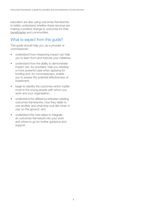education are also using outcomes frameworks to better understand whether these services are making a positive change to outcomes for their beneficiaries and communities.

## What to expect from this quide?

This guide should help you, as a provider or commissioner:

- understand how measuring impact can help you to learn from and improve your initiatives;
- understand how the ability to demonstrate impact can, for providers, help you develop a more powerful case when applying for funding and, for commissioners, enable you to assess the potential effectiveness of investment;
- begin to identify the outcomes which matter most to the young people with whom you work and your organisation;
- understand the difference between existing outcomes frameworks, how they relate to one another and what they look like when in use 'on the ground'; and
- understand the next steps to integrate an outcomes framework into your work and where to go for further guidance and support.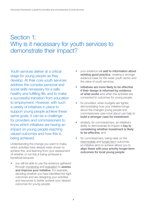## <span id="page-5-0"></span>Section 1: Why is it necessary for youth services to demonstrate their impact?

Youth services deliver at a critical stage for young people as they develop. At their core youth services address the complex personal and social skills necessary for a safe, healthy and fulfilling life, and to make a successful transition from education to employment. However, with such a variety of initiatives in place to support young people achieve these same goals, it can be a challenge for providers and commissioners to know which initiatives are having an impact on young people reaching valued outcomes and how this is being achieved.

Understanding the change you want to make, which activities have already been shown to achieve this, and learning from your assessment of whether or not this is being achieved is beneficial because:

• you will be able to use the evidence gathered through monitoring and evaluation to **assess** and improve your initiative. For example, deciding whether you have identified the right outcomes and are designing your activities and resources to better achieve your desired outcomes for young people;

- your evidence will add to information about existing good practice, creating a stronger evidence base for the wider youth sector and the value of youth services;
- initiatives are more likely to be effective if their design is informed by evidence of what works and when the activities are connected to outcomes for young people;
- for providers, when budgets are tighter, demonstrating how your initiative brings about the changes young people and commissioners care most about can help to build a stronger case for investment;
- similarly, for commissioners, an initiative's ability to demonstrate its impact is key to considering whether investment is likely to be effective; and
- for commissioners, being clear on the intermediate and longer-term outcomes an initiative aims to achieve allows you to align these with your priority longer-term outcomes for local young people.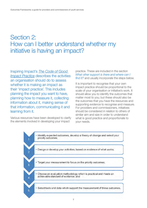## <span id="page-6-0"></span>Section 2: How can I better understand whether my initiative is having an impact?

Inspiring Impact's *[The Code of Good](http://inspiringimpact.org/wp-content/uploads/2013/04/Code-of-Good-Impact-Practice.pdf)  [Impact Practice](http://inspiringimpact.org/wp-content/uploads/2013/04/Code-of-Good-Impact-Practice.pdf)* describes the activities an organisation should do to assess whether it is making an impact as their 'impact practice'. This includes planning the impact you want to have, planning how to measure it, collecting information about it, making sense of that information, communicating it and learning from it.

Various resources have been developed to clarify the elements involved in developing your impact

practice. These are included in the section *[What other support is there and where can I](#page-20-0)  find it?* and usually incorporate the steps below.

It is important to recognise that your own impact practice should be proportional to the scale of your organisation or initiative's work. It should allow you to identify the outcomes that matter most to you; but these should also be the outcomes that you have the resources and supporting evidence to recognise and measure. For providers and commissioners, initiatives should be considered in relation to others of similar aim and size in order to understand what is good practice and proportionate to your needs.

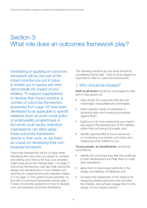## <span id="page-7-0"></span>Section 3: What role does an outcomes framework play?

Developing or applying an outcomes framework will be one part of the impact practice you put in place to enable you to assess and then demonstrate the impact of your initiative. To support organisations to develop their impact practice, a number of outcomes frameworks (presented from page 12) have been developed to be applicable to specific initiatives (such as youth social action or employability programmes) or the whole youth sector. Individual organisations can either apply these outcomes frameworks directly to their work, or use them as a basis for developing their own, bespoke framework.

Outcomes frameworks will be of value when identifying the outcomes you expect to achieve, and setting out a theory for how your activities might bring about this change [\(step 1 on page 7\)](#page-6-0). Outcomes frameworks may also help during the design and development of your initiative and planning for measurement and evaluation (steps [2-5 on page 7\)](#page-6-0). This guide focuses primarily on the role of outcomes frameworks during step 1. It does not provide guidance on how to develop your own bespoke outcomes framework.

The following sections lay out what should be considered during step 1 and at what stages it is important to refer to outcomes frameworks.

### 1. Who should be involved?

Staff at all levels should be encouraged to take part in discussions to:

- help identify the outcomes they feel are meaningful, measurable and achievable;
- build a greater sense of ownership in achieving them and measuring progress against them;
- build buy-in for how measuring your impact will support the development of the initiative rather than just being a formality; and
- identify opportunities to focus resources on monitoring your priority outcomes, and measuring what matters to you.

Young people, as beneficiaries, should be consulted to:

- identify the outcomes they feel will contribute to their development and help them to meet their aspirations;
- allow them to have equal authority in the design and delivery of initiatives; and
- increase their awareness of the reasons for measuring these outcomes now and after the initiative, and actively engage them in the design of your impact practice.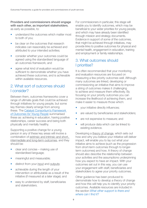Providers and commissioners should engage with each other, as important stakeholders, as early as possible, to:

- understand the outcomes which matter most to both of you;
- be clear on the outcomes that research indicates can reasonably be achieved and attributed to your intended activities;
- consider whether your outcomes could be agreed using the standardised language of an outcomes framework; and
- agree what kind of evaluation would be sufficient to demonstrate whether you have achieved these outcomes, and is achievable within available resources.

## 2. What sort of outcomes should I consider?

Between them, outcomes frameworks cover a range of ultimate goals that could be achieved through initiatives for young people, but some key themes clearly emerge from among these. The [Catalyst Consortium's](http://youngfoundation.org/publications/framework-of-outcomes-for-young-people/) *Framework [of Outcomes for Young People](http://youngfoundation.org/publications/framework-of-outcomes-for-young-people/)* summarised these as: achieving in education, having positive relationships, career success and being both physically and mentally healthy.

Supporting a positive change for a young person in any of these key areas will involve a combination of extrinsic and intrinsic and short, intermediate and long-term outcomes, and they should be:

- clear and concise making use of standardised language;
- meaningful and measurable:
- distinct from your input and outputs;
- achievable during the length of your intervention or attributable as a result of the initiative (if measured at a later stage); and
- easy to understand by staff, beneficiaries and stakeholders.

For commissioners in particular, this stage will enable you to identify outcomes, which may be beneficial to your wider priorities for young people, and which may have already been identified through mission and strategy documents. Evidence in support of some of the outcomes, that might be achieved through initiatives, may provide links to positive outcomes for physical and mental health, engagement in education, training and employment or family relationships.

## 3. What outcomes should I prioritise?

It is often recommended that your monitoring and evaluation resources are focused on measuring a few priority outcomes well. Although many outcomes are linked, developing or commissioning an initiative that aims to improve a string of outcomes makes it challenging to achieve and measure them effectively. By focusing on your priority outcomes you can increase the likelihood of achieving them, and make it easier to measure those which:

- your initiative directly influences;
- are valued by beneficiaries and stakeholders;
- are not expensive to measure; and
- will produce data which can be linked to existing evidence.

Developing a theory of change, which sets out how and why you believe your initiative will deliver impact, will enable you to lay out what your initiative aims to achieve (such as the progression from short-term outcomes through to longerterm outcomes) and how. A theory of change should also describe the relationship between your activities and the assumptions underpinning how you expect to have an impact. With your outcomes set out in this way, you can use your engagement with staff, beneficiaries and stakeholders to agree your priority outcomes.

Other guidance has been produced to demonstrate how to develop a theory of change and how this will help you to identify your priority outcomes. Available resources are included in the section *[What other support is there and](#page-20-0)  where can I find it?*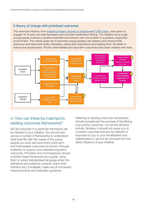### A theory of change with prioritised outcomes

This example initiative, from Inspiring Impact *[Journey to EmploymenT \(JET\) pack](http://inspiringimpact.org/wp-content/uploads/2013/03/The-JET-Pack.pdf)*, uses sport to engage 16-18 year old male teenagers and provides leadership training. The initiative aims to get young people involved in positive activities and interact with one another in a positive, respectful environment. The overall goals are to promote young people's self esteem and improve their behaviour and teamwork skills; ultimately, raising their aspirations and helping them do better in school and employment. Priority intermediate and long-term outcomes have been marked with stars.



## 4. How can these be matched to existing outcomes frameworks?

Not all outcomes in a particular framework will be relevant to your initiative. You should look across a number of frameworks to understand what best fits with the needs of the young people you work with and which short-term and intermediate outcomes are shown, through evidence, to support your intended long-term outcomes. Providers and commissioners should consider these frameworks as a guide, using them to adopt standardised language when the definitions and evidence correctly match their intention and, if available, make use of connected measuring tools and evaluation guidance.

Referring to existing outcomes frameworks should complement the process of identifying your priority outcomes, not set the direction entirely. Similarly, it should not cause you to consider outcomes that are not relevant or important to you or your beneficiaries and stakeholders or are too far removed from the direct influence of your initiative.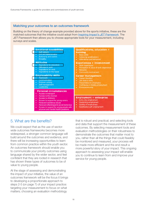### Matching your outcomes to an outcomes framework

Building on the theory of change example provided above for the sports initiative, these are the matched outcomes that the initiative could adopt from [Inspiring Impact's](http://www.thinknpc.org/publications/the-journey-to-employment/) *JET Framework*. The *JET Framework* then allows you to choose appropriate tools for your measurement, including surveys and scales.



## 5. What are the benefits?

We could expect that as the use of sectorwide outcomes frameworks becomes more widespread, a stronger common language will build around the outcomes and evidence, and there will be increasing opportunities to learn from common practice within the youth sector. An outcomes framework should enable you to communicate your priority outcomes using language shared by the wider sector, and feel confident that they are rooted in research that has shown these types of outcomes to be of value to young people.

At the stage of assessing and demonstrating the impact of your initiative, the value of an outcomes framework will be the focus it brings to developing a proportionate approach to steps 2-5 [\(on page 7\)](#page-6-0) of your impact practice: targeting your measurement to focus on what matters; choosing an evaluation methodology

that is robust and practical; and selecting tools and data that support the measurement of these outcomes. By selecting measurement tools and evaluation methodologies on their robustness to demonstrate the outcomes that matter most to you, rather than all the things that could feasibly be monitored and measured, your process will be made more efficient and the end result a more powerful story of your impact. This ongoing approach to assessing your impact will enable you to continue to learn from and improve your service for young people.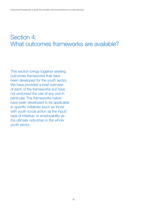## <span id="page-11-0"></span>Section 4: What outcomes frameworks are available?

This section brings together existing outcomes frameworks that have been developed for the youth sector. We have provided a brief overview of each of the frameworks but have not endorsed the use of any one in particular. The frameworks below have been developed to be applicable to specific initiatives (such as those with youth social action as the input/ type of initiative, or employability as the ultimate outcome) or the whole youth sector.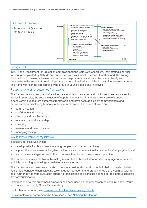

In 2011, the Department for Education commissioned the Catalyst Consortium, their strategic partner for young people (led by NCVYS and supported by NYA, Social Enterprise Coalition and The Young Foundation), to develop a framework that would help providers and commissioners identify and demonstrate the impact of developing social and emotional skills and the link with long-term outcomes.  $\alpha$  is a bottom individual social social social social social social social social and emotional capabilities that  $\alpha$ The framework can be applied to a wide group of young people and initiatives.

The model outlines several important features of outcomes for young people:

#### resilience and a sense of setting your own agenda. This Framework of Outcomes focuses most strongly on the 'clusters of capabilities' within this quadrant and their crucial significance to the Relationship to other outcomes frameworks

achievement of other outcomes – particularly those that input those that impact the purse (the top-right)  $\alpha$ The framework was designed to be widely accessible to the sector and continues to serve as a sector leader. In particular, the seven 'clusters of capabilities' outlined in the framework are referenced extensively in subsequent outcomes frameworks and have been applied by commissioners and providers when developing bespoke outcome frameworks. The seven clusters are:

- communication
- confidence and agency
- planning and problem solving
- relationships and leadership
- **creativity**
- resilience and determination
- managing feelings

#### Would it be suitable for my initiative?

It is useful for initiatives which:

- develop skills for life and work in young people in a broad range of ways;
- support the achievement of long-term outcomes such as educational attainment and employment; and
- are in the early stages or would like to improve their impact measurement practice.

The framework makes the link with existing research, and has set standardised language for outcomes, which is becoming increasingly consistent across the sector.

The framework also provides a matrix of tools for consideration and prompts to help understand what you should consider when selecting tools. It does not recommend particular tools and you may wish to seek further advice from evaluation support organisations and consider a range of tools before selecting any for your initiative.

Examples of how this outcomes framework has been used on the ground can be seen in London Youth and Lancashire County Council's case study.

For further information, see **Framework of Outcomes for Young People.** 

For examples of programmes who have used it, see **Noticing the Change.**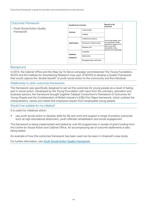| <b>Outcomes Framework</b>                  |                             |                                 |                                                                                                                                                                          |
|--------------------------------------------|-----------------------------|---------------------------------|--------------------------------------------------------------------------------------------------------------------------------------------------------------------------|
| - Youth Social Action Quality<br>Framework | Benefits for the individual |                                 | Benefits for the<br>community                                                                                                                                            |
|                                            | Optimism                    | Communication                   | Can be wide-ranging, from<br>civic participation, health,<br>educational engagement to<br>safer communities.<br>sustainability, voting,<br>resilience and employability. |
|                                            |                             | Creativity                      |                                                                                                                                                                          |
|                                            | Determination               | Confidence and Agency           |                                                                                                                                                                          |
|                                            |                             | Planning and Problem solving    |                                                                                                                                                                          |
|                                            |                             | Resilience, Grit                |                                                                                                                                                                          |
|                                            | Emotional                   | Leadership                      |                                                                                                                                                                          |
|                                            | Intelligence                | Relationships                   |                                                                                                                                                                          |
|                                            |                             | Managing feelings, Self control |                                                                                                                                                                          |

In 2013, the Cabinet Office and the Step Up To Serve campaign commissioned The Young Foundation, NCVO and the Institute for Volunteering Research (now part of NCVO) to develop a Quality Framework that would capture the 'double benefit' of youth social action to the community and the individual.

#### Relationship to other outcomes frameworks

The framework was specifically designed to set out the outcomes for young people as a result of taking part in social action. Developed by the Young Foundation with input from the voluntary, education and business sectors, the framework brought together Catalyst Consortium's *Framework of Outcomes for Young People* and the Confederation of British Industry's (CBI) *First Steps* framework, which outlined the characteristics, values and habits that employers expect from employable young people.

Would it be suitable for my initiative?

It is useful for initiatives which:

• use youth social action to develop skills for life and work and support a range of positive outcomes such as high educational attainment, youth offender rehabilitation and social engagement.

The framework is being implemented and tested by over 60 programmes in receipt of grant funding from the Centre for Social Action and Cabinet Office. An accompanying set of outcome statements is also being tested.

An example of how this outcomes framework has been used can be seen in vInspired's case study.

For further information, see [Youth Social Action Quality Framework.](http://youngfoundation.org/publications/scoping-a-quality-framework-for-youth-social-action/)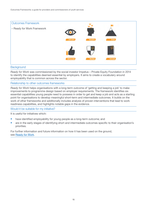

*Ready for Work* was commissioned by the social investor Impetus – Private Equity Foundation in 2014 to identify the capabilities deemed essential by employers. It aims to create a vocabulary around employability that is common across the sector.

#### Relationship to other outcomes frameworks

*Ready for Work* helps organisations with a long-term outcome of 'getting and keeping a job' to make improvements to programme design based on employer requirements. The framework identifies six essential capabilities young people need to possess in order to get and keep a job and acts as a starting point for organisations to develop meaningful short-term and intermediate outcomes. It builds on the work of other frameworks and additionally includes analysis of proven interventions that lead to work readiness capabilities, and highlights notable gaps in the evidence.

Would it be suitable for my initiative?

It is useful for initiatives which:

- have identified employability for young people as a long-term outcome; and
- are in the early stages of identifying short and intermediate outcomes specific to their organisation's priorities.

For further information and future information on how it has been used on the ground, see [Ready for Work.](http://www.impetus-pef.org.uk/research/ready-for-work/)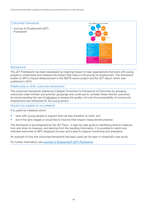

The *JET Framework* has been developed by Inspiring Impact to help organisations that work with young people to understand and measure the impact they have on the journey to employment. The framework builds on NPC's *Impact Measurement in the NEETs sector* project and the *JET* report, which was published in 2013.

Relationship to other outcomes frameworks

The outcomes framework references Catalyst Consortium's *Framework of Outcomes* by grouping outcomes under intrinsic and extrinsic groupings and continues to consider these intrinsic outcomes by recommending the use of indicators to assess the quality, not only the sustainability of moving into employment and enterprise for the young person.

Would it be suitable for my initiative?

It is useful for initiatives which:

- work with young people to support them as they transition to work; and
- are in the early stages or would like to improve their impact measurement practice.

The framework is accompanied by the *JET Pack* – a step-by-step guide to identifying what to measure, how and when to measure, and learning from the resulting information. It is possible to match your intended outcomes to NPC designed surveys and scales to support monitoring and evaluation.

An example of how this outcomes framework has been used can be seen in vInspired's case study.

For further information, see [Journey to EmploymenT \(JET\) Framework.](http://www.thinknpc.org/publications/the-journey-to-employment/)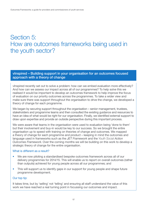## <span id="page-16-0"></span>Section 5: How are outcomes frameworks being used in the youth sector?

### vInspired – Building support in your organisation for an outcomes focused approach with a theory of change

vInspired recently set out to solve a problem: how can we embed evaluation more effectively? And how can we assess our impact across all of our programmes? To help solve this we realised it would be important to develop an outcomes framework to help improve the focus of evaluation on our priority outcomes across the programmes. To take a wider view and make sure there was support throughout the organisation to drive the change, we developed a theory of change for each programme.

We began by securing support throughout the organisation – senior management, trustees, stakeholders and programme teams and then consulted the existing guidance and resources to have an idea of what would be right for our organisation. Finally, we identified external support to draw upon expertise and provide an outside perspective during this important process.

We were aware that teams in the organisation were used to evaluation being 'done to them' but their involvement and buy-in would be key to our success. So we brought the entire organisation up to speed with training on theories of change and outcomes. We mapped a theory of change for each programme and product – keeping in mind the outcomes and language used in frameworks such as the *JET Framework* and the *Youth Social Action Outcomes Framework*. Over the coming months we will be building on this work to develop a strategic theory of change for the entire organisation.

### What is different as a result?

- We are now piloting a standardised bespoke outcomes framework across all of our delivery programmes for 2014/15. This will enable us to report on overall outcomes (rather than outputs) achieved for young people across all our programmes; and
- This will support us to identify gaps in our support for young people and shape future programme development.

### Our top tip:

It takes time, but by 'selling' not 'telling' and ensuring all staff understand the value of this work we have reached a real turning point in focussing our outcomes and impact.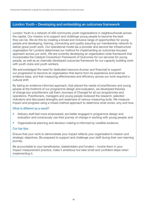### <span id="page-17-0"></span>London Youth – Developing and embedding an outcomes framework

London Youth is a network of 400 community youth organisations in neighbourhoods across the capital. Our mission is to support and challenge young people to become the best they can be. We do this by creating a broad and inclusive range of opportunities for young people and developing, training, connecting and quality assuring our membership network to deliver good youth work. Our operational model (as a provider and second tier infrastructure organisation for London) determined our method for implementing an outcomes-focused approach across our work. We are currently developing an organisation-wide framework that incorporates the Catalyst Consortium *Framework of Outcomes* for our services for young people, as well as an internally developed outcomes framework for our capacity building work with youth clubs and youth workers.

We acknowledged the need for dedicated resource (human and financial) to support our progression to become an organisation that learns from its experience and external evidence base, and that measuring effectiveness and efficiency across our work required a cultural shift.

By taking an evidence-informed approach, that placed the needs of practitioners and young people at the forefront of our programme design and evaluation, we developed theories of change (our practitioners call them Journeys of Change) for all our programmes and operations. Practitioners, managers and young people reviewed the research, selected indicators and discussed strengths and weakness of various measuring tools. We measure impact and progress using a mixed-method approach to determine what works, why and how.

### What is different as a result?

- Delivery staff feel more empowered, are better engaged in programme design and evaluation and consciously use their journey of change in working with young people; and
- Organisational planning and decision-making is informed by credible evidence.

### Our top tips:

Ensure that your work to demonstrate your impact reflects your organisation's mission and strategic objectives. Be prepared to support and challenge your staff during their own learning journey.

Be accountable to your beneficiaries, stakeholders and funders – involve them in your impact measurement practice, make it ambitious but take small and confident steps when implementing it.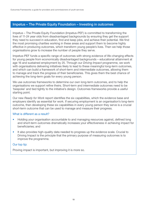### <span id="page-18-0"></span>Impetus – The Private Equity Foundation – Investing in outcomes

Impetus – The Private Equity Foundation (Impetus-PEF) is committed to transforming the lives of 11-24 year olds from disadvantaged backgrounds by ensuring they get the support they need to succeed in education, find and keep jobs, and achieve their potential. We find the most promising charities working in these areas and support them to become highly effective in producing outcomes, which transform young people's lives. Then we help those organisations grow to increase the number of people they serve.

Impetus-PEF funds a specific range of outcomes with strong evidence of life-changing effects for young people from economically disadvantaged backgrounds – educational attainment at age 16 and sustained employment by 25. Through our *Driving Impact* programme, we work with organisations delivering initiatives likely to lead to these meaningful long-term outcomes, and which can build a framework of short-term and intermediate outcomes, allowing them to manage and track the progress of their beneficiaries. This gives them the best chance of achieving the long-term goals for every young person.

We use outcomes frameworks to determine our own long-term outcomes, and to help the organisations we support refine theirs. Short-term and intermediate outcomes need to be 'bespoke' and tied tightly to the initiative's design. Outcomes frameworks provide a useful starting point.

Our new *Ready for Work* report identifies the six capabilities, which the evidence base and employers identify as essential for work. If securing employment is an organisation's long-term outcome, then developing these six capabilities in every young person they serve is a crucial short-term outcome that can be used to manage and measure their progress.

### What is different as a result?

- Holding your organisation accountable to and managing resources against, defined long and short-term outcomes dramatically increases your effectiveness in achieving impact for beneficiaries; and
- It also provides high-quality data needed to progress up the evidence scale. Crucial to Driving Impact is the principle that the primary purpose of measuring outcomes is to improve the programme.

### Our top tip:

Proving impact is important, but improving it is more so.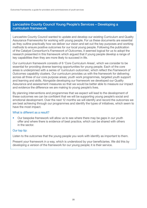### <span id="page-19-0"></span>Lancashire County Council Young People's Services – Developing a curriculum framework

Lancashire County Council wanted to update and develop our existing Curriculum and Quality Assurance Frameworks for working with young people. For us these documents are essential as they outline practically how we deliver our vision and set out the key purposes and working methods to ensure positive outcomes for our local young people. Following the publication of the Catalyst Consortium's *Framework of Outcomes*, it seemed logical for us to adopt the research presented in this framework which argued that if young people develop a range of key capabilities then they are more likely to succeed in life.

Our curriculum framework consists of 6 'Core Curriculum Areas', which we consider to be essential for providing diverse learning opportunities for young people. Each of the core areas is underpinned with a series of 'curriculum outcomes', which reflect the *Framework of Outcomes* capability clusters. Our curriculum provides us with the framework for delivering across all three of our core purpose areas; youth work programmes, targeted youth support and learning and skills. Alongside developing our framework we developed our Quality Assurance and assessment measures so that we would be better able to measure our impact and evidence the difference we are making to young people's lives.

By planning interventions and programmes that we expect will lead to the development of these outcomes we can be confident that we will be supporting young people's social and emotional development. Over the next 12 months we will identify and record the outcomes we are best achieving through our programmes and identify the types of initiatives, which seem to have the most impact.

### What is different as a result?

• Our bespoke framework will allow us to see where there may be gaps in our youth offer and where there is evidence of best practice, which can be shared with others in the sector.

### Our top tip:

Listen to the outcomes that the young people you work with identify as important to them.

Present your framework in a way, which is understood by your beneficiaries. We did this by developing a version of the framework for our young people; it is their service.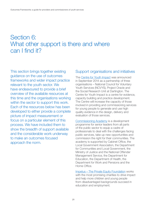## <span id="page-20-0"></span>Section 6: What other support is there and where can I find it?

This section brings together existing guidance on the use of outcomes frameworks and wider impact practice relevant to the youth sector. We have endeavoured to provide a brief overview of the available resources at this time and the organisations working within the sector to support this work. Each of the resources below has been developed to either provide a complete picture of impact measurement or focus on a particular element of this process. We have included them to show the breadth of support available and the considerable work underway to make an outcomes focused approach the norm.

### Support organisations and initiatives

The [Centre for Youth Impact](http://www.youth-impact.uk/) was announced in September 2014 as a partnership of three organisations – National Council for Voluntary Youth Services (NCVYS), Project Oracle and the Social Research Unit at Dartington. The Centre for Youth Impact is a centre for evidence, capacity building and practice development. The Centre will increase the capacity of those involved in providing and commissioning services for young people to generate and use high quality evidence in the design, delivery and evaluation of those services.

[Commissioning Academy](https://www.gov.uk/the-commissioning-academy-information) is a development programme for senior leaders from all parts of the public sector to equip a cadre of professionals to deal with the challenges facing public services, take up new opportunities and commission the right for their communities. The academy is supported by Cabinet Office, the Local Government Association, the Department for Communities and Local Government, the Ministry of Justice and the National Offender Management Service, the Department for Education, the Department of Health, the Department for Work and Pensions and the Home Office.

[Impetus – The Private Equity Foundation](http://www.impetus-pef.org.uk/) works with the most promising charities to drive impact and help more children and young people from disadvantaged backgrounds succeed in education and employment.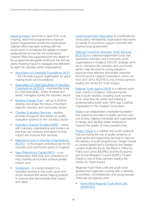[Inspiring Impact,](http://inspiringimpact.org/) launched in April 2012, is an ongoing, sector-led programme to improve impact measurement across the social sector. Cabinet Office has been working with the social sector to accelerate the uptake of impact measurement across the UK social sector. Cabinet Office has supported both the design of the programme alongside funding for the first two years. Inspiring Impact is managed and delivered by eight UK voluntary sector organisations:

- [Association of Charitable Foundations \(ACF\)](http://www.acf.org.uk/) – the UK-wide support organisation for grantmaking trusts and foundations;
- [Association of Chief Executives of Voluntary](https://www.acevo.org.uk/)  [Organisations \(ACEVO\)](https://www.acevo.org.uk/) – membership body for chief executives, chairs, trustees and senior managers across the voluntary sector;
- [Building Change Trust](http://www.buildingchangetrust.org/)  set up in 2008 to develop and shape the future of Northern Ireland's voluntary and community sector;
- [Charities Evaluation Services](http://www.ces-vol.org.uk/) leading provider of support and advice on quality evaluation systems for the voluntary sector;
- [Evaluation Support Scotland \(ESS\)](http://www.evaluationsupportscotland.org.uk/) works with voluntary organisations and funders so that they can measure and report on their impact and improve their services;
- National Council of Voluntary Organisations [\(NCVO\)](http://www.ncvo.org.uk/) – is the largest umbrella body for the voluntary and community sector in England;
- [New Philanthropy Capital \(NPC\)](http://www.thinknpc.org/)  is an independent think tank and consultancy to help charities and funders achieve greater impact; and
- [Substance](http://www.substance.coop/) is a social research cooperative working in the youth, sport and social development sector helping projects to improve and demonstrate their impact and value.

[Local Government Association](http://www.local.gov.uk/) is a politically-led, cross-party membership organisation that works on behalf of councils to support, promote and improve local government.

### [National Council for Voluntary Youth Services](http://www.ncvys.org.uk/)

[\(NCVYS\)](http://www.ncvys.org.uk/) is a national independent body that represents voluntary and community youth organisations in England. NCVYS' strategic aims are to champion the voluntary and community sector, help services for young people to become more effective and broker networks. NCVYS led the Catalyst Consortium, which ran from 2011-2013. NCVYS is one of three partners leading the Centre for Youth Impact.

[National Youth Agency \(NYA\)](http://www.nya.org.uk/) is a national youth work charity in England, championing the role of youth workers, enabling youth workers to do what they do, better and helping to professionalise youth work. NYA was a partner organisation in the Catalyst Consortium.

[Nesta](http://www.nesta.org.uk/) is an independent charitable foundation that supports innovation in public services and civil society, helping individuals and organisations to design and develop better initiatives to improve the quality of many people's lives.

[Project Oracle](http://project-oracle.com/) is a children and youth evidence hub promoting the use of quality evidence of what works and supporting services to improve the delivery of youth programmes. Project Oracle is London based and is funded by the Greater London Authority (GLA), the Mayor's Office for Police and Crime (MOPAC) and the Economic and Social Research Council (ESRC). Project Oracle is one of three partners leading the Centre for Youth Impact.

Regional Youth Work Units are youth work development agencies working with a network of providers, commissioners and young people. There are six regional units:

• [North West Regional Youth Work Unit](http://www.nwrywu.org.uk/)  [\(NWRYWU\)](http://www.nwrywu.org.uk/)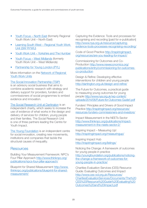- [Youth Focus North East](http://youthfocusne.org.uk/) (formerly Regional Youth Work Unit – North East)
- Learning South West Regional Youth Work Unit (SW RYWU)
- [Youth Work Unit Yorkshire and The Humber](http://www.youthworkunit.com/site/)
- [Youth Focus West Midlands](http://www.yfwm.org.uk/public/home.php) (formerly Youth Work Unit – West Midlands)
- [Partnership for Young London \(PYL\)](http://www.partnershipforyounglondon.org.uk/)

### [More information on the Network of Regional](http://www.learning-southwest.org.uk/asset/Network%20of%20RWYU%27s%20FINAL%202.pdf)  Youth Work Units

#### [The Social Innovation Partnership \(TSIP\)](http://tsip.co.uk/)

is an advisory social business that aims to combine academic research with strategy and delivery support for providers, funders and commissioners of social programmes to embed evidence and innovation.

[The Social Research Unit at Dartington](http://dartington.org.uk/) is an independent charity, which seeks to increase the use of evidence of what works in the design and delivery of services for children, young people and their families. The Social Research Unit is one of three partners leading the Centre for Youth Impact.

[The Young Foundation](http://youngfoundation.org/) is an independent centre for social innovation, creating new movements, institutions and companies that tackle the structural causes of inequality.

### **Resources**

Building Your Measurement Framework: NPC's [Four Pillar Approach http://www.thinknpc.org/](http://www.thinknpc.org/publications/npcs-four-pillar-approach/) publications/npcs-four-pillar-approach/

Blueprint for Shared Measurement http://www. [thinknpc.org/publications/blueprint-for-shared](http://www.thinknpc.org/publications/blueprint-for-shared-measurement/)measurement/

Capturing the Evidence: Tools and processes for recognising and recording [paid for e-publication] http://www.nya.org.uk/resource/capturing[evidence-tools-processes-recognising-recording/](http://www.nya.org.uk/resource/capturing-evidence-tools-processes-recognising-recording/ ) 

#### Code of Good Practice [http://inspiringimpact.](http://inspiringimpact.org/resources/are-you-leading-for-impact/) [org/resources/are-you-leading-for-impact/](http://inspiringimpact.org/resources/are-you-leading-for-impact/)

Commissioning for Outcomes and Co-Production http://www.neweconomics.org/ [publications/entry/commissioning-for-outcomes](http://www.neweconomics.org/publications/entry/commissioning-for-outcomes-co-production)co-production

Design & Refine: Developing effective interventions for children and young people <http://dartington.org.uk/design-and-refine/>

The Future for Outcomes, a practical guide to measuring young outcomes for young people http://www.nya.org.uk/wp-content/ [uploads/2014/06/Future-for-Outcomes-Guide1.pdf](http://www.nya.org.uk/wp-content/uploads/2014/06/Future-for-Outcomes-Guide1.pdf)

Funders' Principles and Drivers of Good Impact Practice http://inspiringimpact.org/resources/ [resources-funders-commissioners-and-investors/](http://inspiringimpact.org/resources/resources-funders-commissioners-and-investors/)

Impact Measurement in the NEETs Sector [http://www.thinknpc.org/publications/impact](http://www.thinknpc.org/publications/impact-measurement-in-the-neets-sector-2/)measurement-in-the-neets-sector-2/

Inspiring Impact – Measuring Up! <http://inspiringimpact.org/measuringup/>

Inspiring Impact Hub <http://inspiringimpact.org/listings/>

Noticing the Change: A framework of outcomes for young people in practice [http://youngfoundation.org/publications/noticing](http://youngfoundation.org/publications/noticing-the-change-a-framework-of-outcomes-for-young-people-in-practice/)the-change-a-framework-of-outcomes-foryoung-people-in-practice/

Charities Evaluation Services (CES) Resource Guide: Evaluating Outcomes and Impact http://www.ces-vol.org.uk/Resources/ [CharitiesEvaluationServices/Documents/The%20](http://www.ces-vol.org.uk/Resources/CharitiesEvaluationServices/Documents/The%20CES%20Resource%20Guide%20Evaluating%20Outcomes%20and%20Impact.pdf) CES%20Resource%20Guide%20Evaluating%20 Outcomes%20and%20Impact.pdf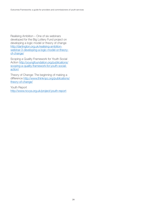Realising Ambition – One of six webinars developed for the Big Lottery Fund project on developing a logic model or theory of change http://dartington.org.uk/realising-ambition[webinar-3-developing-a-logic-model-or-theory](http://dartington.org.uk/realising-ambition-webinar-3-developing-a-logic-model-or-theory-of-change/)of-change/

Scoping a Quality Framework for Youth Social [Action http://youngfoundation.org/publications/](http://youngfoundation.org/publications/scoping-a-quality-framework-for-youth-social-action/) scoping-a-quality-framework-for-youth-socialaction/

Theory of Change: The beginning of making a difference [http://www.thinknpc.org/publications/](http://www.thinknpc.org/publications/theory-of-change/) [theory-of-change/](http://www.thinknpc.org/publications/theory-of-change/)

Youth Report <http://www.ncvys.org.uk/project/youth-report>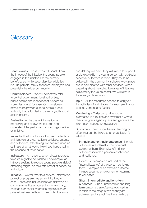## <span id="page-24-0"></span>**Glossary**

Beneficiaries – Those who will benefit from the impact of the initiative: the young people engaged in the initiative are the primary beneficiaries, while secondary beneficiaries include parents, family, teachers, employers and potentially the wider community.

Commissioners – We will collectively refer to central government, local authorities, public bodies and independent funders as 'commissioners', for ease. Commissioners may also be providers, for example a local authority that is funded to deliver a youth social action initiative.

Evaluation – The use of information from monitoring and elsewhere to judge and understand the performance of an organisation or initiative.

Impact – The broad and/or long-term effects of an initiative's or organisation's activities, outputs and outcomes, after taking into consideration an estimate of what would likely have happened in the absence of the initiative.

Indicators – A measure, which allows progress towards a goal to be tracked. For example, an initiative seeking to reduce young people's risk of offending might use their attainment at school as an indicator.

Initiative – We will refer to a service, intervention, project or programmes as an 'initiative', for ease. These can include initiatives delivered or commissioned by a local authority, voluntary, charitable or social enterprise organisation or private business. Although their individual aims

and delivery will differ, they will intend to support or develop skills in a young person with particular beneficial outcomes in mind. They could be delivered in the community, schools, work place, and in combination with other services. When speaking about the collective range of initiatives delivered by the youth sector, we will refer to these as youth services.

Input – All the resources needed to carry out the activities of an initiative. For example finance, staff, equipment and facilities

Monitoring – Collecting and recording information in a routine and systematic way to check progress against plans and generate the information needed for evaluation.

Outcome – The change, benefit, learning or effect that can be linked to an organisation's initiative.

Intrinsic and extrinsic outcomes – Intrinsic outcomes are internal to the individual achieving them. Examples of intrinsic outcomes include a person's confidence and resilience.

Extrinsic outcomes are not part of the 'internal balance' of the person achieving them. Examples of an extrinsic outcome include securing employment or returning to education.

Short, intermediate and long-term outcomes – Short, intermediate and longterm outcomes are often categorised in relation to the stage at which they are achieved and are not fixed to a particular